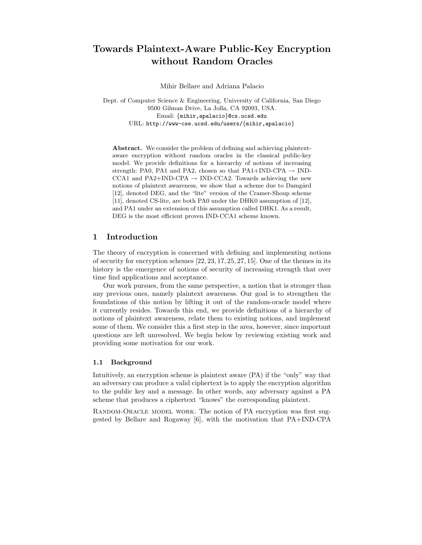# Towards Plaintext-Aware Public-Key Encryption without Random Oracles

Mihir Bellare and Adriana Palacio

Dept. of Computer Science & Engineering, University of California, San Diego 9500 Gilman Drive, La Jolla, CA 92093, USA. Email: {mihir,apalacio}@cs.ucsd.edu URL: http://www-cse.ucsd.edu/users/{mihir,apalacio}

Abstract. We consider the problem of defining and achieving plaintextaware encryption without random oracles in the classical public-key model. We provide definitions for a hierarchy of notions of increasing strength: PA0, PA1 and PA2, chosen so that PA1+IND-CPA  $\rightarrow$  IND-CCA1 and PA2+IND-CPA  $\rightarrow$  IND-CCA2. Towards achieving the new notions of plaintext awareness, we show that a scheme due to Damgård [12], denoted DEG, and the "lite" version of the Cramer-Shoup scheme [11], denoted CS-lite, are both PA0 under the DHK0 assumption of [12], and PA1 under an extension of this assumption called DHK1. As a result, DEG is the most efficient proven IND-CCA1 scheme known.

## 1 Introduction

The theory of encryption is concerned with defining and implementing notions of security for encryption schemes [22, 23, 17, 25, 27, 15]. One of the themes in its history is the emergence of notions of security of increasing strength that over time find applications and acceptance.

Our work pursues, from the same perspective, a notion that is stronger than any previous ones, namely plaintext awareness. Our goal is to strengthen the foundations of this notion by lifting it out of the random-oracle model where it currently resides. Towards this end, we provide definitions of a hierarchy of notions of plaintext awareness, relate them to existing notions, and implement some of them. We consider this a first step in the area, however, since important questions are left unresolved. We begin below by reviewing existing work and providing some motivation for our work.

#### 1.1 Background

Intuitively, an encryption scheme is plaintext aware (PA) if the "only" way that an adversary can produce a valid ciphertext is to apply the encryption algorithm to the public key and a message. In other words, any adversary against a PA scheme that produces a ciphertext "knows" the corresponding plaintext.

RANDOM-ORACLE MODEL WORK. The notion of PA encryption was first suggested by Bellare and Rogaway [6], with the motivation that PA+IND-CPA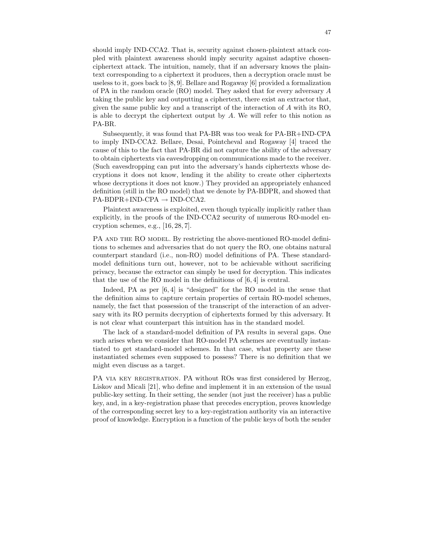should imply IND-CCA2. That is, security against chosen-plaintext attack coupled with plaintext awareness should imply security against adaptive chosenciphertext attack. The intuition, namely, that if an adversary knows the plaintext corresponding to a ciphertext it produces, then a decryption oracle must be useless to it, goes back to [8, 9]. Bellare and Rogaway [6] provided a formalization of PA in the random oracle (RO) model. They asked that for every adversary A taking the public key and outputting a ciphertext, there exist an extractor that, given the same public key and a transcript of the interaction of A with its RO, is able to decrypt the ciphertext output by  $A$ . We will refer to this notion as PA-BR.

Subsequently, it was found that PA-BR was too weak for PA-BR+IND-CPA to imply IND-CCA2. Bellare, Desai, Pointcheval and Rogaway [4] traced the cause of this to the fact that PA-BR did not capture the ability of the adversary to obtain ciphertexts via eavesdropping on communications made to the receiver. (Such eavesdropping can put into the adversary's hands ciphertexts whose decryptions it does not know, lending it the ability to create other ciphertexts whose decryptions it does not know.) They provided an appropriately enhanced definition (still in the RO model) that we denote by PA-BDPR, and showed that  $PA-BDPR+IND-CPA \rightarrow IND-CCA2.$ 

Plaintext awareness is exploited, even though typically implicitly rather than explicitly, in the proofs of the IND-CCA2 security of numerous RO-model encryption schemes, e.g., [16, 28, 7].

PA AND THE RO MODEL. By restricting the above-mentioned RO-model definitions to schemes and adversaries that do not query the RO, one obtains natural counterpart standard (i.e., non-RO) model definitions of PA. These standardmodel definitions turn out, however, not to be achievable without sacrificing privacy, because the extractor can simply be used for decryption. This indicates that the use of the RO model in the definitions of [6, 4] is central.

Indeed, PA as per [6, 4] is "designed" for the RO model in the sense that the definition aims to capture certain properties of certain RO-model schemes, namely, the fact that possession of the transcript of the interaction of an adversary with its RO permits decryption of ciphertexts formed by this adversary. It is not clear what counterpart this intuition has in the standard model.

The lack of a standard-model definition of PA results in several gaps. One such arises when we consider that RO-model PA schemes are eventually instantiated to get standard-model schemes. In that case, what property are these instantiated schemes even supposed to possess? There is no definition that we might even discuss as a target.

PA VIA KEY REGISTRATION. PA without ROs was first considered by Herzog, Liskov and Micali [21], who define and implement it in an extension of the usual public-key setting. In their setting, the sender (not just the receiver) has a public key, and, in a key-registration phase that precedes encryption, proves knowledge of the corresponding secret key to a key-registration authority via an interactive proof of knowledge. Encryption is a function of the public keys of both the sender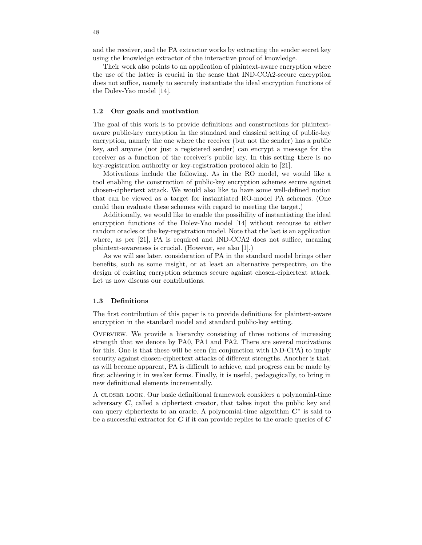and the receiver, and the PA extractor works by extracting the sender secret key using the knowledge extractor of the interactive proof of knowledge.

Their work also points to an application of plaintext-aware encryption where the use of the latter is crucial in the sense that IND-CCA2-secure encryption does not suffice, namely to securely instantiate the ideal encryption functions of the Dolev-Yao model [14].

#### 1.2 Our goals and motivation

The goal of this work is to provide definitions and constructions for plaintextaware public-key encryption in the standard and classical setting of public-key encryption, namely the one where the receiver (but not the sender) has a public key, and anyone (not just a registered sender) can encrypt a message for the receiver as a function of the receiver's public key. In this setting there is no key-registration authority or key-registration protocol akin to [21].

Motivations include the following. As in the RO model, we would like a tool enabling the construction of public-key encryption schemes secure against chosen-ciphertext attack. We would also like to have some well-defined notion that can be viewed as a target for instantiated RO-model PA schemes. (One could then evaluate these schemes with regard to meeting the target.)

Additionally, we would like to enable the possibility of instantiating the ideal encryption functions of the Dolev-Yao model [14] without recourse to either random oracles or the key-registration model. Note that the last is an application where, as per [21], PA is required and IND-CCA2 does not suffice, meaning plaintext-awareness is crucial. (However, see also [1].)

As we will see later, consideration of PA in the standard model brings other benefits, such as some insight, or at least an alternative perspective, on the design of existing encryption schemes secure against chosen-ciphertext attack. Let us now discuss our contributions.

#### 1.3 Definitions

The first contribution of this paper is to provide definitions for plaintext-aware encryption in the standard model and standard public-key setting.

Overview. We provide a hierarchy consisting of three notions of increasing strength that we denote by PA0, PA1 and PA2. There are several motivations for this. One is that these will be seen (in conjunction with IND-CPA) to imply security against chosen-ciphertext attacks of different strengths. Another is that, as will become apparent, PA is difficult to achieve, and progress can be made by first achieving it in weaker forms. Finally, it is useful, pedagogically, to bring in new definitional elements incrementally.

A closer look. Our basic definitional framework considers a polynomial-time adversary C, called a ciphertext creator, that takes input the public key and can query ciphertexts to an oracle. A polynomial-time algorithm  $C^*$  is said to be a successful extractor for  $C$  if it can provide replies to the oracle queries of  $C$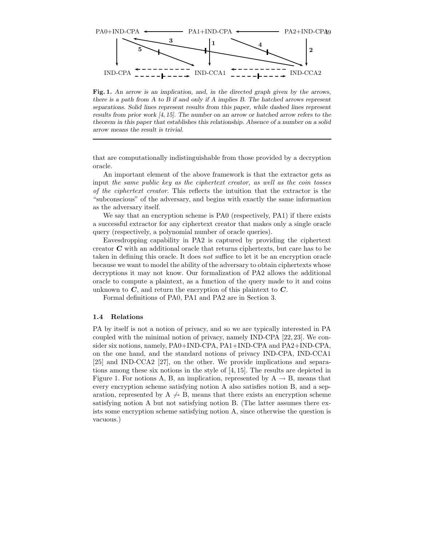

Fig. 1. An arrow is an implication, and, in the directed graph given by the arrows, there is a path from A to B if and only if A implies B. The hatched arrows represent separations. Solid lines represent results from this paper, while dashed lines represent results from prior work [4, 15]. The number on an arrow or hatched arrow refers to the theorem in this paper that establishes this relationship. Absence of a number on a solid arrow means the result is trivial.

that are computationally indistinguishable from those provided by a decryption oracle.

An important element of the above framework is that the extractor gets as input the same public key as the ciphertext creator, as well as the coin tosses of the ciphertext creator. This reflects the intuition that the extractor is the "subconscious" of the adversary, and begins with exactly the same information as the adversary itself.

We say that an encryption scheme is PA0 (respectively, PA1) if there exists a successful extractor for any ciphertext creator that makes only a single oracle query (respectively, a polynomial number of oracle queries).

Eavesdropping capability in PA2 is captured by providing the ciphertext creator C with an additional oracle that returns ciphertexts, but care has to be taken in defining this oracle. It does not suffice to let it be an encryption oracle because we want to model the ability of the adversary to obtain ciphertexts whose decryptions it may not know. Our formalization of PA2 allows the additional oracle to compute a plaintext, as a function of the query made to it and coins unknown to  $C$ , and return the encryption of this plaintext to  $C$ .

Formal definitions of PA0, PA1 and PA2 are in Section 3.

#### 1.4 Relations

PA by itself is not a notion of privacy, and so we are typically interested in PA coupled with the minimal notion of privacy, namely IND-CPA [22, 23]. We consider six notions, namely, PA0+IND-CPA, PA1+IND-CPA and PA2+IND-CPA, on the one hand, and the standard notions of privacy IND-CPA, IND-CCA1 [25] and IND-CCA2 [27], on the other. We provide implications and separations among these six notions in the style of [4, 15]. The results are depicted in Figure 1. For notions A, B, an implication, represented by  $A \rightarrow B$ , means that every encryption scheme satisfying notion A also satisfies notion B, and a separation, represented by A  $\rightarrow$  B, means that there exists an encryption scheme satisfying notion A but not satisfying notion B. (The latter assumes there exists some encryption scheme satisfying notion A, since otherwise the question is vacuous.)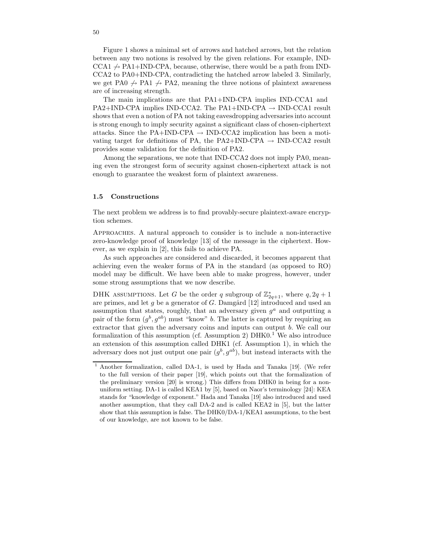Figure 1 shows a minimal set of arrows and hatched arrows, but the relation between any two notions is resolved by the given relations. For example, IND- $\text{CCA1} \rightarrow \text{PA1+IND-CPA}$ , because, otherwise, there would be a path from IND-CCA2 to PA0+IND-CPA, contradicting the hatched arrow labeled 3. Similarly, we get PA0  $\rightarrow$  PA1  $\rightarrow$  PA2, meaning the three notions of plaintext awareness are of increasing strength.

The main implications are that PA1+IND-CPA implies IND-CCA1 and  $PA2+IND-CPA$  implies IND-CCA2. The PA1+IND-CPA  $\rightarrow$  IND-CCA1 result shows that even a notion of PA not taking eavesdropping adversariesinto account is strong enough to imply security against a significant class of chosen-ciphertext attacks. Since the PA+IND-CPA  $\rightarrow$  IND-CCA2 implication has been a motivating target for definitions of PA, the PA2+IND-CPA  $\rightarrow$  IND-CCA2 result provides some validation for the definition of PA2.

Among the separations, we note that IND-CCA2 does not imply PA0, meaning even the strongest form of security against chosen-ciphertext attack is not enough to guarantee the weakest form of plaintext awareness.

#### 1.5 Constructions

The next problem we address is to find provably-secure plaintext-aware encryption schemes.

Approaches. A natural approach to consider is to include a non-interactive zero-knowledge proof of knowledge [13] of the message in the ciphertext. However, as we explain in [2], this fails to achieve PA.

As such approaches are considered and discarded, it becomes apparent that achieving even the weaker forms of PA in the standard (as opposed to RO) model may be difficult. We have been able to make progress, however, under some strong assumptions that we now describe.

DHK ASSUMPTIONS. Let G be the order q subgroup of  $\mathbb{Z}_{2q+1}^*$ , where  $q, 2q+1$ are primes, and let g be a generator of G. Damgård  $[12]$  introduced and used an assumption that states, roughly, that an adversary given  $g^a$  and outputting a pair of the form  $(g^b, g^{ab})$  must "know" b. The latter is captured by requiring an extractor that given the adversary coins and inputs can output b. We call our formalization of this assumption (cf. Assumption 2)  $DHKO<sup>1</sup>$  We also introduce an extension of this assumption called DHK1 (cf. Assumption 1), in which the adversary does not just output one pair  $(g^b, g^{ab})$ , but instead interacts with the

<sup>1</sup> Another formalization, called DA-1, is used by Hada and Tanaka [19]. (We refer to the full version of their paper [19], which points out that the formalization of the preliminary version [20] is wrong.) This differs from DHK0 in being for a nonuniform setting. DA-1 is called KEA1 by [5], based on Naor's terminology [24]: KEA stands for "knowledge of exponent." Hada and Tanaka [19] also introduced and used another assumption, that they call DA-2 and is called KEA2 in [5], but the latter show that this assumption is false. The DHK0/DA-1/KEA1 assumptions, to the best of our knowledge, are not known to be false.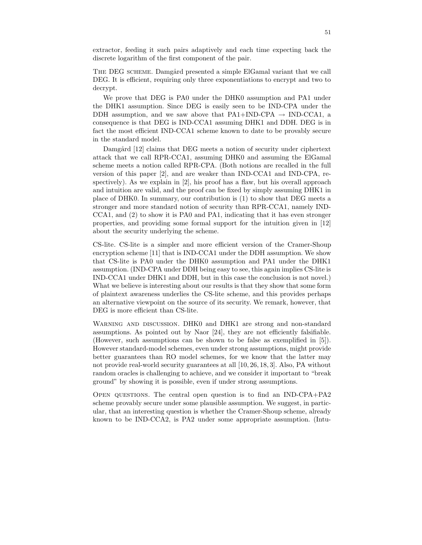extractor, feeding it such pairs adaptively and each time expecting back the discrete logarithm of the first component of the pair.

THE DEG SCHEME. Damgård presented a simple ElGamal variant that we call DEG. It is efficient, requiring only three exponentiations to encrypt and two to decrypt.

We prove that DEG is PA0 under the DHK0 assumption and PA1 under the DHK1 assumption. Since DEG is easily seen to be IND-CPA under the DDH assumption, and we saw above that  $PA1+IND-CPA \rightarrow IND-CCA1$ , a consequence is that DEG is IND-CCA1 assuming DHK1 and DDH. DEG is in fact the most efficient IND-CCA1 scheme known to date to be provably secure in the standard model.

Damgård [12] claims that DEG meets a notion of security under ciphertext attack that we call RPR-CCA1, assuming DHK0 and assuming the ElGamal scheme meets a notion called RPR-CPA. (Both notions are recalled in the full version of this paper [2], and are weaker than IND-CCA1 and IND-CPA, respectively). As we explain in [2], his proof has a flaw, but his overall approach and intuition are valid, and the proof can be fixed by simply assuming DHK1 in place of DHK0. In summary, our contribution is (1) to show that DEG meets a stronger and more standard notion of security than RPR-CCA1, namely IND-CCA1, and (2) to show it is PA0 and PA1, indicating that it has even stronger properties, and providing some formal support for the intuition given in [12] about the security underlying the scheme.

CS-lite. CS-lite is a simpler and more efficient version of the Cramer-Shoup encryption scheme [11] that is IND-CCA1 under the DDH assumption. We show that CS-lite is PA0 under the DHK0 assumption and PA1 under the DHK1 assumption. (IND-CPA under DDH being easy to see, this again implies CS-lite is IND-CCA1 under DHK1 and DDH, but in this case the conclusion is not novel.) What we believe is interesting about our results is that they show that some form of plaintext awareness underlies the CS-lite scheme, and this provides perhaps an alternative viewpoint on the source of its security. We remark, however, that DEG is more efficient than CS-lite.

WARNING AND DISCUSSION. DHK0 and DHK1 are strong and non-standard assumptions. As pointed out by Naor [24], they are not efficiently falsifiable. (However, such assumptions can be shown to be false as exemplified in [5]). However standard-model schemes, even under strong assumptions, might provide better guarantees than RO model schemes, for we know that the latter may not provide real-world security guarantees at all [10, 26, 18, 3]. Also, PA without random oracles is challenging to achieve, and we consider it important to "break ground" by showing it is possible, even if under strong assumptions.

Open questions. The central open question is to find an IND-CPA+PA2 scheme provably secure under some plausible assumption. We suggest, in particular, that an interesting question is whether the Cramer-Shoup scheme, already known to be IND-CCA2, is PA2 under some appropriate assumption. (Intu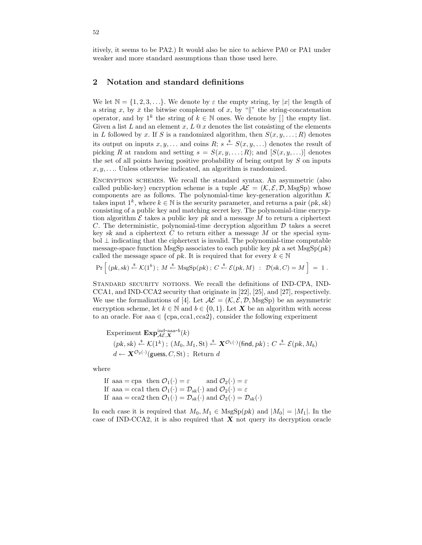itively, it seems to be PA2.) It would also be nice to achieve PA0 or PA1 under weaker and more standard assumptions than those used here.

## 2 Notation and standard definitions

We let  $\mathbb{N} = \{1, 2, 3, \ldots\}$ . We denote by  $\varepsilon$  the empty string, by |x| the length of a string x, by  $\bar{x}$  the bitwise complement of x, by "|" the string-concatenation operator, and by  $1^k$  the string of  $k \in \mathbb{N}$  ones. We denote by [] the empty list. Given a list L and an element x,  $L \tQ x$  denotes the list consisting of the elements in L followed by x. If S is a randomized algorithm, then  $S(x, y, \ldots; R)$  denotes its output on inputs  $x, y, \ldots$  and coins  $R; s \stackrel{\$}{\leftarrow} S(x, y, \ldots)$  denotes the result of picking R at random and setting  $s = S(x, y, \ldots, R)$ ; and  $[S(x, y, \ldots)]$  denotes the set of all points having positive probability of being output by  $S$  on inputs  $x, y, \ldots$  Unless otherwise indicated, an algorithm is randomized.

Encryption schemes. We recall the standard syntax. An asymmetric (also called public-key) encryption scheme is a tuple  $A\mathcal{E} = (\mathcal{K}, \mathcal{E}, \mathcal{D}, \text{MsgSp})$  whose components are as follows. The polynomial-time key-generation algorithm  $K$ takes input  $1^k$ , where  $k \in \mathbb{N}$  is the security parameter, and returns a pair  $(pk, sk)$ consisting of a public key and matching secret key. The polynomial-time encryption algorithm  $\mathcal E$  takes a public key pk and a message M to return a ciphertext C. The deterministic, polynomial-time decryption algorithm  $D$  takes a secret key sk and a ciphertext  $C$  to return either a message  $M$  or the special sym- $\text{bol } \perp$  indicating that the ciphertext is invalid. The polynomial-time computable message-space function MsgSp associates to each public key pk a set  $\text{MsgSp}(pk)$ called the message space of pk. It is required that for every  $k \in \mathbb{N}$ 

$$
\Pr\left[(pk, sk) \stackrel{\$}{\leftarrow} \mathcal{K}(1^k) \, ; \, M \stackrel{\$}{\leftarrow} \text{MsgSp}(pk) \, ; \, C \stackrel{\$}{\leftarrow} \mathcal{E}(pk, M) \, : \, \mathcal{D}(sk, C) = M\right] = 1 \, .
$$

STANDARD SECURITY NOTIONS. We recall the definitions of IND-CPA, IND-CCA1, and IND-CCA2 security that originate in [22], [25], and [27], respectively. We use the formalizations of [4]. Let  $\mathcal{AE} = (\mathcal{K}, \mathcal{E}, \mathcal{D}, \text{MsgSp})$  be an asymmetric encryption scheme, let  $k \in \mathbb{N}$  and  $b \in \{0, 1\}$ . Let **X** be an algorithm with access to an oracle. For aaa  $\in \{cpa, cca1, cca2\}$ , consider the following experiment

Experiment 
$$
\mathbf{Exp}_{\mathcal{A}\mathcal{E},\mathbf{X}}^{\text{ind-aaa-}b}(k)
$$
  
\n $(pk, sk) \stackrel{\$}{\leftarrow} \mathcal{K}(1^k)$ ;  $(M_0, M_1, St) \stackrel{\$}{\leftarrow} \mathbf{X}^{\mathcal{O}_1(\cdot)}(\text{find}, pk)$ ;  $C \stackrel{\$}{\leftarrow} \mathcal{E}(pk, M_b)$   
\n $d \leftarrow \mathbf{X}^{\mathcal{O}_2(\cdot)}(\text{guess}, C, St)$ ; Return  $d$ 

where

If aaa = cpa then  $\mathcal{O}_1(\cdot) = \varepsilon$  and  $\mathcal{O}_2(\cdot) = \varepsilon$ If aaa = cca1 then  $\mathcal{O}_1(\cdot) = \mathcal{D}_{sk}(\cdot)$  and  $\mathcal{O}_2(\cdot) = \varepsilon$ If aaa = cca2 then  $\mathcal{O}_1(\cdot) = \mathcal{D}_{sk}(\cdot)$  and  $\mathcal{O}_2(\cdot) = \mathcal{D}_{sk}(\cdot)$ 

In each case it is required that  $M_0, M_1 \in \text{MsgSp}(pk)$  and  $|M_0| = |M_1|$ . In the case of IND-CCA2, it is also required that  $X$  not query its decryption oracle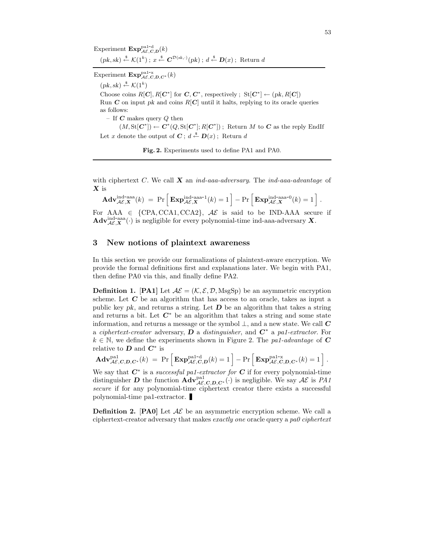Experiment  $\mathbf{Exp}_{\mathcal{AE}, \mathcal{C}, \mathcal{D}}^{\text{pal-d}}(k)$  $(pk, sk) \stackrel{\$}{\leftarrow} \mathcal{K}(1^k); x \stackrel{\$}{\leftarrow} \mathbf{C}^{\mathcal{D}(sk, \cdot)}(pk); d \stackrel{\$}{\leftarrow} \mathbf{D}(x);$  Return d

Experiment  $\mathbf{Exp}_{\mathcal{AE}, C,D,C^*}^{\text{pal-x}}(k)$ 

 $(pk, sk) \stackrel{\$}{\leftarrow} \mathcal{K}(1^k)$ Choose coins  $R[\mathbf{C}], R[\mathbf{C}^*]$  for  $\mathbf{C}, \mathbf{C}^*$ , respectively;  $\text{St}[\mathbf{C}^*] \leftarrow (pk, R[\mathbf{C}])$ Run  $C$  on input pk and coins  $R[C]$  until it halts, replying to its oracle queries as follows: – If  $C$  makes query  $Q$  then  $(M, \text{St}[\mathbf{C}^*]) \leftarrow \mathbf{C}^*(Q, \text{St}[\mathbf{C}^*]; R[\mathbf{C}^*])$ ; Return M to C as the reply EndIf Let x denote the output of  $C$ ;  $d \stackrel{\$}{\leftarrow} D(x)$ ; Return d

Fig. 2. Experiments used to define PA1 and PA0.

with ciphertext C. We call  $X$  an ind-aaa-adversary. The ind-aaa-advantage of X is

 $\mathbf{Adv}_{\mathcal{A}\mathcal{E},\mathbf{X}}^{\text{ind-aaa}}(k) \ = \ \Pr\Big[\,\mathbf{Exp}_{\mathcal{A}\mathcal{E},\mathbf{X}}^{\text{ind-aaa-1}}(k) = 1\,\Big] - \Pr\Big[\,\mathbf{Exp}_{\mathcal{A}\mathcal{E},\mathbf{X}}^{\text{ind-aaa-0}}(k) = 1\,\Big] \;.$ 

For AAA  $\in$  {CPA, CCA1, CCA2},  $\mathcal{AE}$  is said to be IND-AAA secure if  $\text{Adv}_{\mathcal{A}\mathcal{E},\mathbf{X}}^{\text{ind-aaa}}(\cdot)$  is negligible for every polynomial-time ind-aaa-adversary X.

## 3 New notions of plaintext awareness

In this section we provide our formalizations of plaintext-aware encryption. We provide the formal definitions first and explanations later. We begin with PA1, then define PA0 via this, and finally define PA2.

**Definition 1.** [PA1] Let  $A\mathcal{E} = (\mathcal{K}, \mathcal{E}, \mathcal{D}, \text{MsgSp})$  be an asymmetric encryption scheme. Let  $C$  be an algorithm that has access to an oracle, takes as input a public key pk, and returns a string. Let  $\bm{D}$  be an algorithm that takes a string and returns a bit. Let  $\mathbb{C}^*$  be an algorithm that takes a string and some state information, and returns a message or the symbol  $\perp$ , and a new state. We call  $\bf{C}$ a ciphertext-creator adversary, D a distinguisher, and  $\mathbf{C}^*$  a pa1-extractor. For  $k \in \mathbb{N}$ , we define the experiments shown in Figure 2. The pal-advantage of C relative to  $D$  and  $C^*$  is

$$
\mathbf{Adv}_{\mathcal{AE},\mathbf{C},\mathbf{D},\mathbf{C}^*}^{\text{pal}}(k) \; = \; \Pr\Big[\mathbf{Exp}_{\mathcal{AE},\mathbf{C},\mathbf{D}}^{\text{pal-d}}(k) = 1\Big] - \Pr\Big[\mathbf{Exp}_{\mathcal{AE},\mathbf{C},\mathbf{D},\mathbf{C}^*}^{\text{pal-x}}(k) = 1\Big] \; .
$$

We say that  $C^*$  is a *successful pa1-extractor for*  $C$  if for every polynomial-time distinguisher **D** the function  $\mathbf{Adv}_{\mathcal{AE},\mathbf{C},\mathbf{D},\mathbf{C}^*}^{pat}(\cdot)$  is negligible. We say  $\mathcal{AE}$  is PA1 secure if for any polynomial-time ciphertext creator there exists a successful polynomial-time pa1-extractor.

**Definition 2.** [PA0] Let  $AE$  be an asymmetric encryption scheme. We call a ciphertext-creator adversary that makes exactly one oracle query a pa0 ciphertext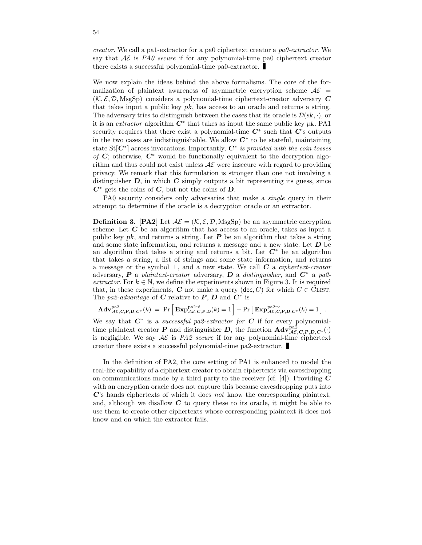creator. We call a pa1-extractor for a pa0 ciphertext creator a pa0-extractor. We say that  $A\mathcal{E}$  is PAO secure if for any polynomial-time paO ciphertext creator there exists a successful polynomial-time pa0-extractor.

We now explain the ideas behind the above formalisms. The core of the formalization of plaintext awareness of asymmetric encryption scheme  $A\mathcal{E}$  =  $(\mathcal{K}, \mathcal{E}, \mathcal{D}, \text{MsgSp})$  considers a polynomial-time ciphertext-creator adversary C that takes input a public key pk, has access to an oracle and returns a string. The adversary tries to distinguish between the cases that its oracle is  $\mathcal{D}(sk, \cdot)$ , or it is an *extractor* algorithm  $\tilde{C}^*$  that takes as input the same public key pk. PA1 security requires that there exist a polynomial-time  $C^*$  such that  $C$ 's outputs in the two cases are indistinguishable. We allow  $C^*$  to be stateful, maintaining state St[ $C^*$ ] across invocations. Importantly,  $C^*$  is provided with the coin tosses of  $C$ ; otherwise,  $C^*$  would be functionally equivalent to the decryption algorithm and thus could not exist unless  $A\mathcal{E}$  were insecure with regard to providing privacy. We remark that this formulation is stronger than one not involving a distinguisher  $D$ , in which  $C$  simply outputs a bit representing its guess, since  $C^*$  gets the coins of  $C$ , but not the coins of  $D$ .

PA0 security considers only adversaries that make a single query in their attempt to determine if the oracle is a decryption oracle or an extractor.

**Definition 3.** [PA2] Let  $A\mathcal{E} = (\mathcal{K}, \mathcal{E}, \mathcal{D}, \text{MsgSp})$  be an asymmetric encryption scheme. Let  $C$  be an algorithm that has access to an oracle, takes as input a public key pk, and returns a string. Let  $P$  be an algorithm that takes a string and some state information, and returns a message and a new state. Let  $D$  be an algorithm that takes a string and returns a bit. Let  $C^*$  be an algorithm that takes a string, a list of strings and some state information, and returns a message or the symbol  $\perp$ , and a new state. We call C a *ciphertext-creator* adversary, P a plaintext-creator adversary, D a distinguisher, and  $C^*$  a pa2extractor. For  $k \in \mathbb{N}$ , we define the experiments shown in Figure 3. It is required that, in these experiments, C not make a query (dec, C) for which  $C \in \text{CLIST}$ . The pa2-advantage of C relative to P, D and  $\overline{C}^*$  is

$$
\mathbf{Adv}_{\mathcal{AE},C,P,D,C^*}^{\text{pa2}}(k) = \Pr \left[ \mathbf{Exp}_{\mathcal{AE},C,P,D}^{\text{pa2-d}}(k) = 1 \right] - \Pr \left[ \mathbf{Exp}_{\mathcal{AE},C,P,D,C^*}^{\text{pa2-x}}(k) = 1 \right].
$$

We say that  $C^*$  is a *successful pa2-extractor for*  $C$  if for every polynomialtime plaintext creator **P** and distinguisher **D**, the function  $\text{Adv}_{\mathcal{AE},C,P,D,C^*}^{pa2}(\cdot)$ is negligible. We say  $A\mathcal{E}$  is PA2 secure if for any polynomial-time ciphertext creator there exists a successful polynomial-time pa2-extractor.

In the definition of PA2, the core setting of PA1 is enhanced to model the real-life capability of a ciphertext creator to obtain ciphertexts via eavesdropping on communications made by a third party to the receiver (cf. [4]). Providing  $C$ with an encryption oracle does not capture this because eavesdropping puts into C's hands ciphertexts of which it does not know the corresponding plaintext, and, although we disallow  $C$  to query these to its oracle, it might be able to use them to create other ciphertexts whose corresponding plaintext it does not know and on which the extractor fails.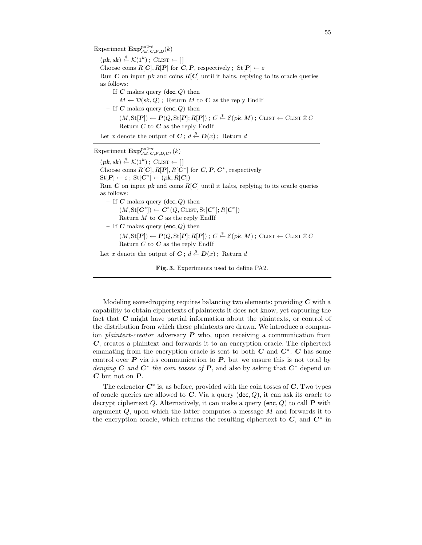Experiment  $\mathbf{Exp}_{\mathcal{AE},\mathcal{C},\mathcal{P},\mathcal{D}}^{\text{pa2-d}}(k)$  $(pk, sk) \stackrel{\$}{\leftarrow} \mathcal{K}(1^k)$ ; CLIST  $\leftarrow []$ Choose coins  $R[\mathbf{C}], R[\mathbf{P}]$  for  $\mathbf{C}, \mathbf{P}$ , respectively;  $\text{St}[\mathbf{P}] \leftarrow \varepsilon$ Run  $C$  on input pk and coins  $R[C]$  until it halts, replying to its oracle queries as follows: – If  $C$  makes query (dec,  $Q$ ) then  $M \leftarrow \mathcal{D}(sk, Q)$ ; Return M to C as the reply EndIf – If  $C$  makes query (enc,  $Q$ ) then (M, St[P]) ← P(Q, St[P]; R[P]) ; C \$← E(pk, M) ; Clist ← Clist @ C Return  $C$  to  $C$  as the reply EndIf Let x denote the output of  $C$ ;  $d \stackrel{\$}{\leftarrow} D(x)$ ; Return d

## Experiment  $\mathbf{Exp}_{\mathcal{AE},C,P,D,C^*}^{\text{pa2-x}}(k)$

 $(pk, sk) \stackrel{\$}{\leftarrow} \mathcal{K}(1^k)$ ; CLIST  $\leftarrow []$ Choose coins  $R[\mathbf{C}], R[\mathbf{P}], R[\mathbf{C}^*]$  for  $\mathbf{C}, \mathbf{P}, \mathbf{C}^*$ , respectively  $\mathrm{St}[\boldsymbol{P}] \leftarrow \varepsilon \, ; \, \mathrm{St}[\boldsymbol{C}^*] \leftarrow (pk, R[\boldsymbol{C}])$ Run  $C$  on input pk and coins  $R[C]$  until it halts, replying to its oracle queries as follows: – If C makes query (dec,  $Q$ ) then  $(M, \text{St}[\boldsymbol{C}^*]) \leftarrow \boldsymbol{C}^*(Q, \text{CLIST}, \text{St}[\boldsymbol{C}^*]; R[\boldsymbol{C}^*])$ Return  $M$  to  $C$  as the reply EndIf – If  $C$  makes query (enc,  $Q$ ) then (M, St[P]) ← P(Q, St[P]; R[P]) ; C \$← E(pk, M) ; Clist ← Clist @ C Return  $C$  to  $C$  as the reply EndIf Let x denote the output of  $C$ ;  $d \stackrel{\$}{\leftarrow} D(x)$ ; Return d

Fig. 3. Experiments used to define PA2.

Modeling eavesdropping requires balancing two elements: providing  $C$  with a capability to obtain ciphertexts of plaintexts it does not know, yet capturing the fact that C might have partial information about the plaintexts, or control of the distribution from which these plaintexts are drawn. We introduce a companion *plaintext-creator* adversary  $\bf{P}$  who, upon receiving a communication from C, creates a plaintext and forwards it to an encryption oracle. The ciphertext emanating from the encryption oracle is sent to both  $C$  and  $C^*$ .  $C$  has some control over  $P$  via its communication to  $P$ , but we ensure this is not total by denying C and  $C^*$  the coin tosses of P, and also by asking that  $C^*$  depend on C but not on P.

The extractor  $C^*$  is, as before, provided with the coin tosses of  $C$ . Two types of oracle queries are allowed to  $C$ . Via a query (dec,  $Q$ ), it can ask its oracle to decrypt ciphertext Q. Alternatively, it can make a query (enc, Q) to call  $\bf{P}$  with argument  $Q$ , upon which the latter computes a message  $M$  and forwards it to the encryption oracle, which returns the resulting ciphertext to  $C$ , and  $C^*$  in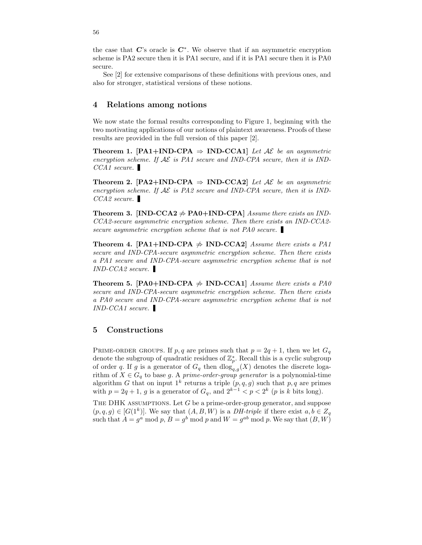the case that  $\mathbf{C}'$ 's oracle is  $\mathbf{C}^*$ . We observe that if an asymmetric encryption scheme is PA2 secure then it is PA1 secure, and if it is PA1 secure then it is PA0 secure.

See [2] for extensive comparisons of these definitions with previous ones, and also for stronger, statistical versions of these notions.

### 4 Relations among notions

We now state the formal results corresponding to Figure 1, beginning with the two motivating applications of our notions of plaintext awareness. Proofs of these results are provided in the full version of this paper [2].

Theorem 1. [PA1+IND-CPA  $\Rightarrow$  IND-CCA1] Let AE be an asymmetric encryption scheme. If  $\mathcal{A}\mathcal{E}$  is PA1 secure and IND-CPA secure, then it is IND-CCA1 secure.

Theorem 2. [PA2+IND-CPA  $\Rightarrow$  IND-CCA2] Let AE be an asymmetric encryption scheme. If  $\mathcal{AE}$  is PA2 secure and IND-CPA secure, then it is IND- $CCA2$  secure.

**Theorem 3.** [IND-CCA2  $\neq$  PA0+IND-CPA] Assume there exists an IND-CCA2-secure asymmetric encryption scheme. Then there exists an IND-CCA2 secure asymmetric encryption scheme that is not PA0 secure.

**Theorem 4. [PA1+IND-CPA**  $\neq$  **IND-CCA2**] Assume there exists a PA1 secure and IND-CPA-secure asymmetric encryption scheme. Then there exists a PA1 secure and IND-CPA-secure asymmetric encryption scheme that is not IND-CCA2 secure.

Theorem 5. [PA0+IND-CPA  $\neq$  IND-CCA1] Assume there exists a PA0 secure and IND-CPA-secure asymmetric encryption scheme. Then there exists a PA0 secure and IND-CPA-secure asymmetric encryption scheme that is not IND-CCA1 secure.

## 5 Constructions

PRIME-ORDER GROUPS. If p, q are primes such that  $p = 2q + 1$ , then we let  $G_q$ denote the subgroup of quadratic residues of  $\mathbb{Z}_p^*$ . Recall this is a cyclic subgroup of order q. If g is a generator of  $G_q$  then  $dlog_{q,q}(X)$  denotes the discrete logarithm of  $X \in G_q$  to base g. A prime-order-group generator is a polynomial-time algorithm G that on input  $1^k$  returns a triple  $(p, q, g)$  such that p, q are primes with  $p = 2q + 1$ , g is a generator of  $G_q$ , and  $2^{k-1} < p < 2^k$  (p is k bits long).

THE DHK ASSUMPTIONS. Let  $G$  be a prime-order-group generator, and suppose  $(p,q,g) \in [G(1^k)]$ . We say that  $(A, B, W)$  is a *DH-triple* if there exist  $a, b \in Z_q$ such that  $A = g^a \mod p$ ,  $B = g^b \mod p$  and  $W = g^{ab} \mod p$ . We say that  $(B, W)$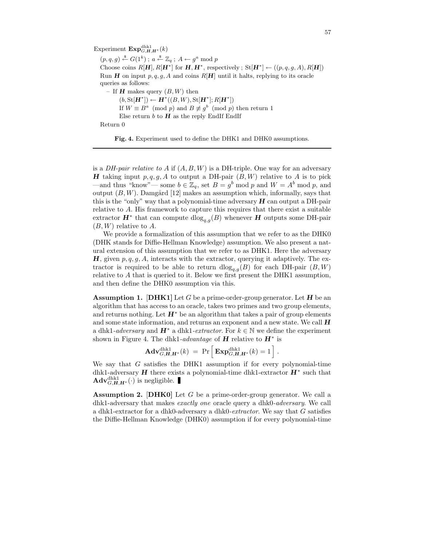Experiment  $\text{Exp}_{G,H,H^*}^{\text{dhk1}}(k)$  $(p,q,g) \stackrel{\$}{\leftarrow} G(1^k)$ ;  $a \stackrel{\$}{\leftarrow} \mathbb{Z}_q$ ;  $A \leftarrow g^a \mod p$ Choose coins  $R[\mathbf{H}], R[\mathbf{H}^*]$  for  $\mathbf{H}, \mathbf{H}^*$ , respectively;  $St[\mathbf{H}^*] \leftarrow ((p, q, g, A), R[\mathbf{H}])$ Run H on input  $p, q, g, A$  and coins  $R[H]$  until it halts, replying to its oracle queries as follows: – If **H** makes query  $(B, W)$  then  $(b, \text{St}[\mathbf{H}^*]) \leftarrow \mathbf{H}^*((B, W), \text{St}[\mathbf{H}^*]; R[\mathbf{H}^*])$ If  $W \equiv B^a \pmod{p}$  and  $B \not\equiv g^b \pmod{p}$  then return 1 Else return  $b$  to  $H$  as the reply EndIf EndIf Return 0

Fig. 4. Experiment used to define the DHK1 and DHK0 assumptions.

is a *DH-pair relative to A* if  $(A, B, W)$  is a DH-triple. One way for an adversary **H** taking input  $p, q, g, A$  to output a DH-pair  $(B, W)$  relative to A is to pick —and thus "know"— some  $b \in \mathbb{Z}_q$ , set  $B = g^b \mod p$  and  $W = A^b \mod p$ , and output  $(B, W)$ . Damgård [12] makes an assumption which, informally, says that this is the "only" way that a polynomial-time adversary  $H$  can output a DH-pair relative to A. His framework to capture this requires that there exist a suitable extractor  $\mathbf{H}^*$  that can compute  $\text{dlog}_{q,g}(B)$  whenever  $\mathbf{H}$  outputs some DH-pair  $(B, W)$  relative to A.

We provide a formalization of this assumption that we refer to as the DHK0 (DHK stands for Diffie-Hellman Knowledge) assumption. We also present a natural extension of this assumption that we refer to as DHK1. Here the adversary **H**, given  $p, q, g, A$ , interacts with the extractor, querying it adaptively. The extractor is required to be able to return  $dlog_{q,g}(B)$  for each DH-pair  $(B, W)$ relative to A that is queried to it. Below we first present the DHK1 assumption, and then define the DHK0 assumption via this.

**Assumption 1.** [DHK1] Let G be a prime-order-group generator. Let H be an algorithm that has access to an oracle, takes two primes and two group elements, and returns nothing. Let  $H^*$  be an algorithm that takes a pair of group elements and some state information, and returns an exponent and a new state. We call  $\boldsymbol{H}$ a dhk1-*adversary* and  $\mathbf{H}^*$  a dhk1-*extractor*. For  $k \in \mathbb{N}$  we define the experiment shown in Figure 4. The dhk1-*advantage* of  $H$  relative to  $H^*$  is

$$
\mathbf{Adv}_{G,H,H^*}^{\text{dhk1}}(k) = \Pr \left[ \mathbf{Exp}_{G,H,H^*}^{\text{dhk1}}(k) = 1 \right].
$$

We say that G satisfies the DHK1 assumption if for every polynomial-time dhk1-adversary  $H$  there exists a polynomial-time dhk1-extractor  $H^*$  such that  $\mathbf{Adv}_{G,H,H^*}^{\text{dhk1}}(\cdot)$  is negligible.

**Assumption 2.** [DHK0] Let  $G$  be a prime-order-group generator. We call a dhk1-adversary that makes *exactly one* oracle query a dhk0-*adversary*. We call a dhk1-extractor for a dhk0-adversary a dhk0-extractor. We say that  $G$  satisfies the Diffie-Hellman Knowledge (DHK0) assumption if for every polynomial-time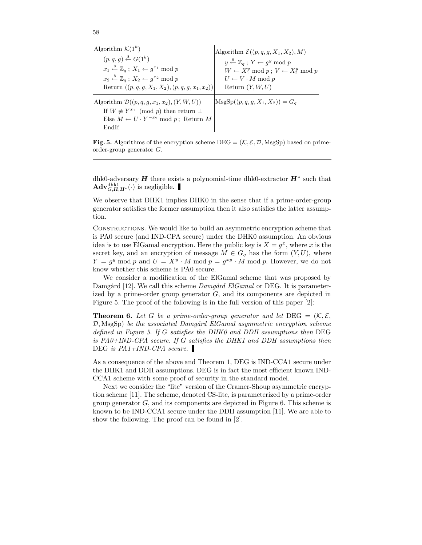| Algorithm $\mathcal{K}(1^k)$                                                                                                                                                  | Algorithm $\mathcal{E}((p,q,g,X_1,X_2),M)$                             |
|-------------------------------------------------------------------------------------------------------------------------------------------------------------------------------|------------------------------------------------------------------------|
| $(p,q,q) \stackrel{\$}{\leftarrow} G(1^k)$                                                                                                                                    | $y \stackrel{\$}{\leftarrow} \mathbb{Z}_q$ ; $Y \leftarrow q^y \mod p$ |
| $x_1 \stackrel{\$}{\leftarrow} \mathbb{Z}_q$ ; $X_1 \leftarrow q^{x_1} \bmod p$                                                                                               | $W \leftarrow X_1^y \mod p$ ; $V \leftarrow X_2^y \mod p$              |
| $x_2 \stackrel{\$}{\leftarrow} \mathbb{Z}_q$ ; $X_2 \leftarrow q^{x_2} \text{ mod } p$                                                                                        | $U \leftarrow V \cdot M \mod p$                                        |
| Return $((p, q, g, X_1, X_2), (p, q, g, x_1, x_2))$                                                                                                                           | Return $(Y, W, U)$                                                     |
| Algorithm $\mathcal{D}((p,q,q,x_1,x_2),(Y,W,U))$<br>If $W \not\equiv Y^{x_1} \pmod{p}$ then return $\perp$<br>Else $M \leftarrow U \cdot Y^{-x_2} \mod p$ ; Return M<br>EndIf | $\text{MsgSp}((p, q, q, X_1, X_2)) = G_q$                              |

58

**Fig. 5.** Algorithms of the encryption scheme  $\text{DEG} = (\mathcal{K}, \mathcal{E}, \mathcal{D}, \text{MsgSp})$  based on primeorder-group generator G.

dhk0-adversary  $H$  there exists a polynomial-time dhk0-extractor  $H^*$  such that  $\mathbf{Adv}_{G,H,H^*}^{\text{dhk1}}(\cdot)$  is negligible.

We observe that DHK1 implies DHK0 in the sense that if a prime-order-group generator satisfies the former assumption then it also satisfies the latter assumption.

Constructions. We would like to build an asymmetric encryption scheme that is PA0 secure (and IND-CPA secure) under the DHK0 assumption. An obvious idea is to use ElGamal encryption. Here the public key is  $X = g^x$ , where x is the secret key, and an encryption of message  $M \in G_q$  has the form  $(Y, U)$ , where  $Y = g^y \mod p$  and  $U = X^y \cdot M \mod p = g^{xy} \cdot M \mod p$ . However, we do not know whether this scheme is PA0 secure.

We consider a modification of the ElGamal scheme that was proposed by Damgård [12]. We call this scheme  $Damgård El Gamal$  or DEG. It is parameterized by a prime-order group generator  $G$ , and its components are depicted in Figure 5. The proof of the following is in the full version of this paper [2]:

**Theorem 6.** Let G be a prime-order-group generator and let  $\text{DEG} = (\mathcal{K}, \mathcal{E}, \mathcal{E})$  $(D, \text{MsgSp})$  be the associated Damgård ElGamal asymmetric encryption scheme defined in Figure 5. If G satisfies the DHK0 and DDH assumptions then DEG is PA0+IND-CPA secure. If G satisfies the DHK1 and DDH assumptions then DEG is  $PA1+IND-CPA$  secure.

As a consequence of the above and Theorem 1, DEG is IND-CCA1 secure under the DHK1 and DDH assumptions. DEG is in fact the most efficient known IND-CCA1 scheme with some proof of security in the standard model.

Next we consider the "lite" version of the Cramer-Shoup asymmetric encryption scheme [11]. The scheme, denoted CS-lite, is parameterized by a prime-order group generator  $G$ , and its components are depicted in Figure 6. This scheme is known to be IND-CCA1 secure under the DDH assumption [11]. We are able to show the following. The proof can be found in [2].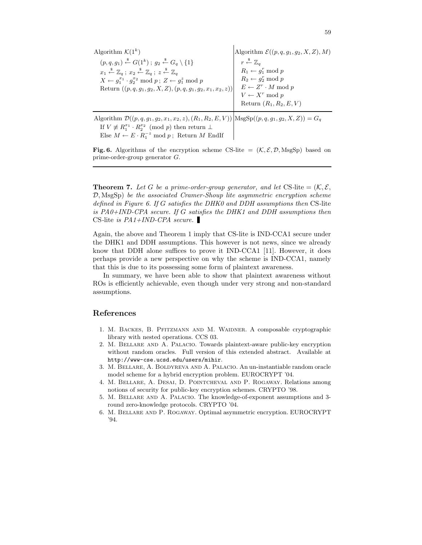Algorithm  $\mathcal{K}(1^k)$  $(p, q, g_1) \stackrel{\$}{\leftarrow} G(1^k)$ ;  $g_2 \stackrel{\$}{\leftarrow} G_q \setminus \{1\}$  $x_1 \stackrel{\hspace{0.1em}\mathsf{\scriptscriptstyle\$}}{\leftarrow} \mathbb{Z}_q \: ; \: x_2 \stackrel{\hspace{0.1em}\mathsf{\scriptscriptstyle\$}}{\leftarrow} \mathbb{Z}_q \: ; \: z \stackrel{\hspace{0.1em}\mathsf{\scriptscriptstyle\$}}{\leftarrow} \mathbb{Z}_q$  $X \leftarrow g_1^{x_1} \cdot g_2^{x_2} \mod p$ ;  $Z \leftarrow g_1^z \mod p$ Return  $((p, q, g_1, g_2, X, Z), (p, q, g_1, g_2, x_1, x_2, z))$ Algorithm  $\mathcal{E}((p,q,g_1,g_2,X,Z),M)$  $r \stackrel{\hspace{0.1em}\mathsf{\scriptscriptstyle\$}}{\leftarrow} \mathbb{Z}_q$  $R_1 \leftarrow g_1^r \bmod p$  $R_2 \leftarrow g_2^r \mod p$  $E \leftarrow Z^r \cdot M \mod p$  $V \leftarrow X^r \mod p$ Return  $(R_1, R_2, E, V)$ Algorithm  $\mathcal{D}((p,q,g_1,g_2,x_1,x_2,z),(R_1,R_2,E,V))$   $\text{MsgSp}((p,q,g_1,g_2,X,Z)) = G_q$ 

If  $V \not\equiv R_1^{x_1} \cdot R_2^{x_2} \pmod{p}$  then return  $\perp$ Else  $M \leftarrow E \cdot R_1^{-z} \mod p$ ; Return M EndIf

Fig. 6. Algorithms of the encryption scheme CS-lite =  $(K, \mathcal{E}, \mathcal{D}, \text{MsgSp})$  based on prime-order-group generator G.

**Theorem 7.** Let G be a prime-order-group generator, and let CS-lite  $=(\mathcal{K}, \mathcal{E},$  $\mathcal{D}, \text{MsgSp}$  be the associated Cramer-Shoup lite asymmetric encryption scheme defined in Figure 6. If G satisfies the DHK0 and DDH assumptions then CS-lite is PA0+IND-CPA secure. If G satisfies the DHK1 and DDH assumptions then CS-lite is  $PA1+IND-CPA$  secure.

Again, the above and Theorem 1 imply that CS-lite is IND-CCA1 secure under the DHK1 and DDH assumptions. This however is not news, since we already know that DDH alone suffices to prove it IND-CCA1 [11]. However, it does perhaps provide a new perspective on why the scheme is IND-CCA1, namely that this is due to its possessing some form of plaintext awareness.

In summary, we have been able to show that plaintext awareness without ROs is efficiently achievable, even though under very strong and non-standard assumptions.

## References

- 1. M. Backes, B. Pfitzmann and M. Waidner. A composable cryptographic library with nested operations. CCS 03.
- 2. M. Bellare and A. Palacio. Towards plaintext-aware public-key encryption without random oracles. Full version of this extended abstract. Available at http://www-cse.ucsd.edu/users/mihir.
- 3. M. Bellare, A. Boldyreva and A. Palacio. An un-instantiable random oracle model scheme for a hybrid encryption problem. EUROCRYPT '04.
- 4. M. Bellare, A. Desai, D. Pointcheval and P. Rogaway. Relations among notions of security for public-key encryption schemes. CRYPTO '98.
- 5. M. Bellare and A. Palacio. The knowledge-of-exponent assumptions and 3 round zero-knowledge protocols. CRYPTO '04.
- 6. M. Bellare and P. Rogaway. Optimal asymmetric encryption. EUROCRYPT '94.